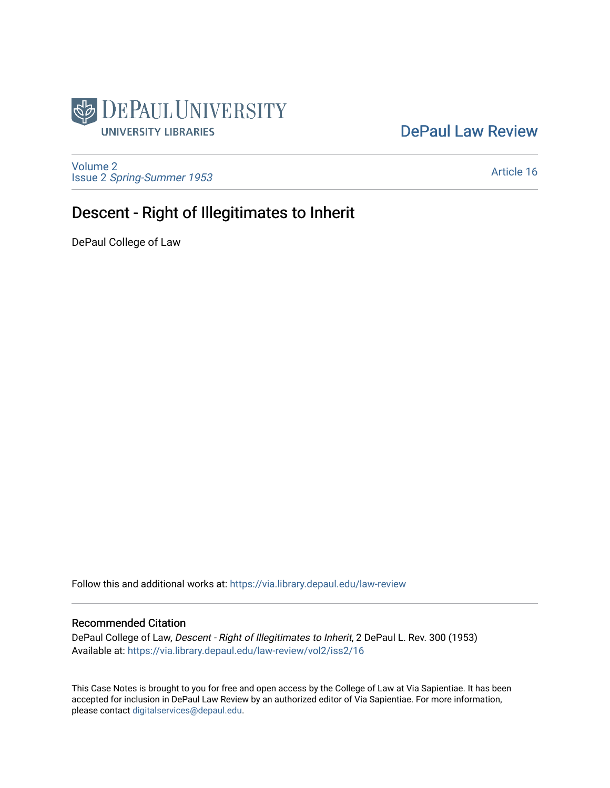

## [DePaul Law Review](https://via.library.depaul.edu/law-review)

[Volume 2](https://via.library.depaul.edu/law-review/vol2) Issue 2 [Spring-Summer 1953](https://via.library.depaul.edu/law-review/vol2/iss2) 

[Article 16](https://via.library.depaul.edu/law-review/vol2/iss2/16) 

# Descent - Right of Illegitimates to Inherit

DePaul College of Law

Follow this and additional works at: [https://via.library.depaul.edu/law-review](https://via.library.depaul.edu/law-review?utm_source=via.library.depaul.edu%2Flaw-review%2Fvol2%2Fiss2%2F16&utm_medium=PDF&utm_campaign=PDFCoverPages) 

### Recommended Citation

DePaul College of Law, Descent - Right of Illegitimates to Inherit, 2 DePaul L. Rev. 300 (1953) Available at: [https://via.library.depaul.edu/law-review/vol2/iss2/16](https://via.library.depaul.edu/law-review/vol2/iss2/16?utm_source=via.library.depaul.edu%2Flaw-review%2Fvol2%2Fiss2%2F16&utm_medium=PDF&utm_campaign=PDFCoverPages) 

This Case Notes is brought to you for free and open access by the College of Law at Via Sapientiae. It has been accepted for inclusion in DePaul Law Review by an authorized editor of Via Sapientiae. For more information, please contact [digitalservices@depaul.edu.](mailto:digitalservices@depaul.edu)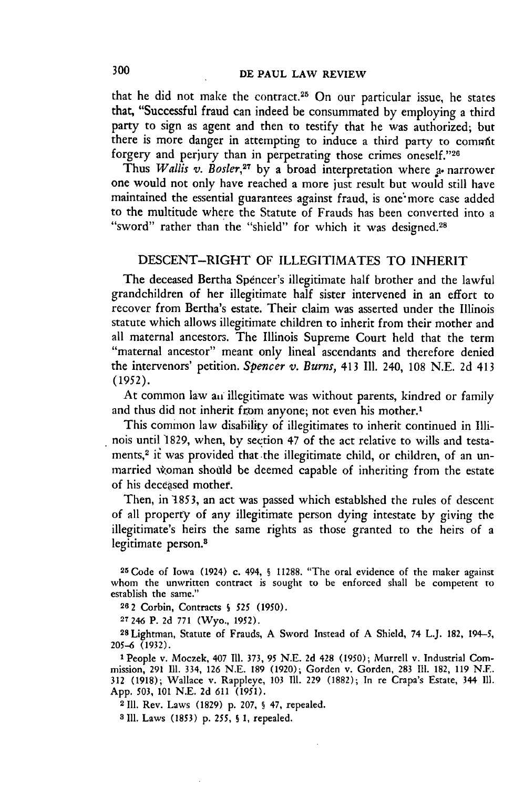that he did not make the contract.<sup>25</sup> On our particular issue, he states that, "Successful fraud can indeed be consummated by employing a third party to sign as agent and then to testify that he was authorized; but there is more danger in attempting to induce a third party to commit forgery and perjury than in perpetrating those crimes oneself."26

Thus *Wallis v. Bosler*,<sup>27</sup> by a broad interpretation where a narrower one would not only have reached a more just result but would still have maintained the essential guarantees against fraud, is one more case added to the multitude where the Statute of Frauds has been converted into a "sword" rather than the "shield" for which it was designed.<sup>28</sup>

#### DESCENT-RIGHT OF ILLEGITIMATES TO INHERIT

The deceased Bertha Spencer's illegitimate half brother and the lawful grandchildren of her illegitimate half sister intervened in an effort to recover from Bertha's estate. Their claim was asserted under the Illinois statute which allows illegitimate children to inherit from their mother and all maternal ancestors. The Illinois Supreme Court held that the term "maternal ancestor" meant only lineal ascendants and therefore denied the intervenors' petition. *Spencer v. Burns,* 413 **111.** 240, 108 N.E. 2d 413 (1952).

At common law an illegitimate was without parents, kindred or family and thus did not inherit from anyone; not even his mother.'

This common law disability of illegitimates to inherit continued in Illinois until 1829, when, by section 47 of the act relative to wills and testaments,<sup>2</sup> it was provided that the illegitimate child, or children, of an unmarried woman should be deemed capable of inheriting from the estate of his deceased mother.

Then, in 1853, an act was passed which establshed the rules of descent of all property of any illegitimate person dying intestate by giving the illegitimate's heirs the same rights as those granted to the heirs of a legitimate person.<sup>8</sup>

**25Code** of Iowa (1924) c. 494, **§** 11288. "The oral evidence of the maker against whom the unwritten contract is sought to be enforced shall be competent to establish the same."

**262** Corbin, Contracts **S 525 (1950).**

**<sup>27</sup>**246 P. **2d 771** (Wyo., 1952).

**<sup>28</sup>**Lightman, Statute of Frauds, A Sword Instead of A Shield, 74 L.J. 182, 194-5, 205-6 (1932).

**1** People v. Moczek, 407 **I11.** 373, **95** N.E. **2d** 428 **(1950);** Murrell v. Industrial Commission, **291 11.** 334, 126 N.E. 189 (1920); Gorden v. Gorden, 283 **II.** 182, 119 N.E. **312** (1918); Wallace v. Rappleye, 103 **I11. 229** (1882); In re Crapa's Estate, 344 Ill. App. **503,** 101 N.E. **2d** 611 (1951).

**<sup>2</sup>I11.** Rev. Laws (1829) p. **207, §** 47, repealed.

**3 111.** Laws **(1853) p.** *255, S* **1,** repealed.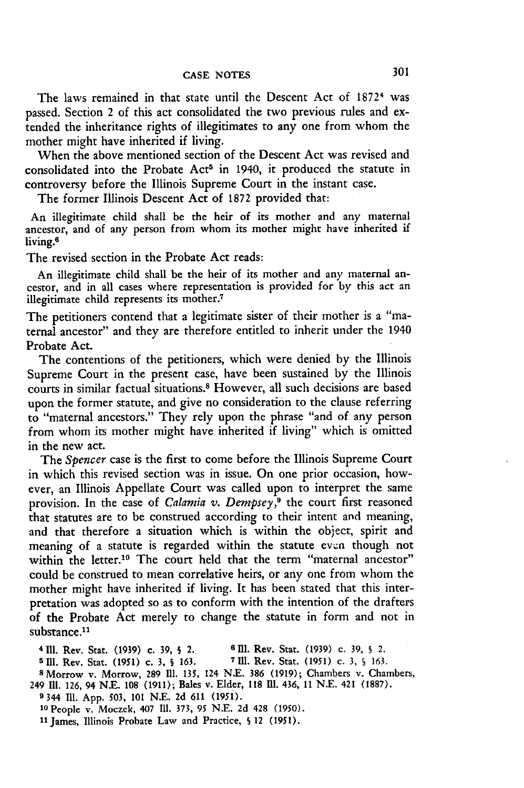The laws remained in that state until the Descent Act of 1872<sup>4</sup> was passed. Section 2 of this act consolidated the two previous rules and extended the inheritance rights of illegitimates to any one from whom the mother might have inherited if living.

When the above mentioned section of the Descent Act was revised and consolidated into the Probate Act<sup>5</sup> in 1940, it produced the statute in controversy before the Illinois Supreme Court in the instant case.

The former Illinois Descent Act of **1872** provided that:

An illegitimate child shall be the heir of its mother and any maternal ancestor, and of any person from whom its mother might have inherited if living.<sup>6</sup>

The revised section in the Probate Act reads:

An illegitimate child shall be the heir of its mother and any maternal ancestor, and in all cases where representation is provided for by this act an illegitimate child represents its mother.<sup>7</sup>

The petitioners contend that a legitimate sister of their mother is a "maternal ancestor" and they are therefore entitled to inherit under the 1940 Probate Act.

The contentions of the petitioners, which were denied by the Illinois Supreme Court in the present case, have been sustained by the Illinois courts in similar factual situations.<sup>8</sup> However, all such decisions are based upon the former statute, and give no consideration to the clause referring to "maternal ancestors." They rely upon the phrase "and of any person from whom its mother might have inherited if living" which is omitted in the new act.

The *Spencer* case is the first to come before the Illinois Supreme Court in which this revised section was in issue. On one prior occasion, however, an Illinois Appellate Court was called upon to interpret the same provision. In the case of *Calamia v. Dempsey*,<sup>9</sup> the court first reasoned that statutes are to be construed according to their intent and meaning, and that therefore a situation which is within the object, spirit and meaning of a statute is regarded within the statute even though not within the letter.<sup>10</sup> The court held that the term "maternal ancestor" could be construed to mean correlative heirs, or any one from whom the mother might have inherited if living. It has been stated that this interpretation was adopted so as to conform with the intention of the drafters of the Probate Act merely to change the statute in form and not in substance.<sup>11</sup>

**4111.** Rev. Stat. (1939) c. **39, S** 2.. **6111.** Rev. Star. (1939) c. **39, §** 2. **5111.** Rev. Stat. **(1951)** c. 3, **S 163. 7IU.** Rev. Stat. (1951) c. **3, § 163. 8** Morrow v. Morrow, **289 111.** 135, 124 **N.E. 386** (1919); Chambers **v.** Chambers, 249 IMl. **126,** 94 **N.E. 108** (1911); Bales v. Elder, **118 111.** 436, 11 N.E. 421 **(1887). 9** 344 **111.** App. 503, **101 NE.** 2d **611 (195i).** 1OPeople v. Moczek, 407 **I1.** 373, **95 N.E.** 2d 428 (1950). 11James, Illinois Probate Law and Practice, **S** 12 (1951).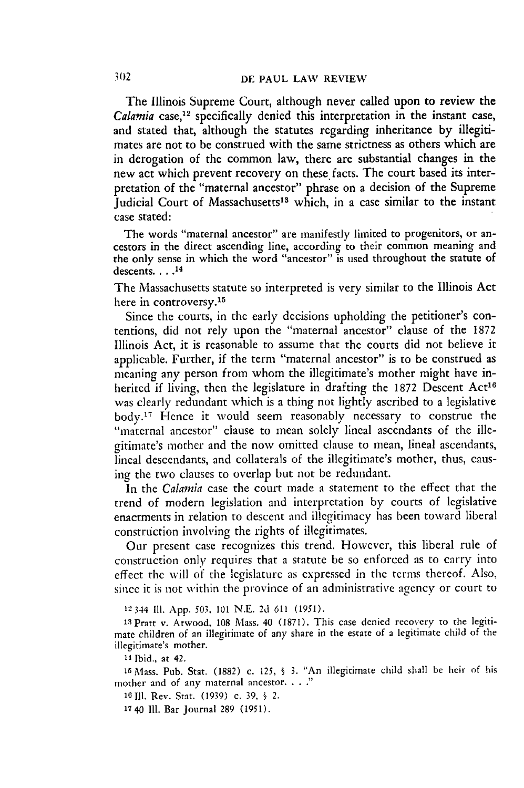The Illinois Supreme Court, although never called upon to review the *Calamia* case,<sup>12</sup> specifically denied this interpretation in the instant case, and stated that, although the statutes regarding inheritance **by** illegitimates are not to be construed with the same strictness as others which are in derogation of the common law, there are substantial changes in the new act which prevent recovery on these facts. The court based its interpretation of the "maternal ancestor" phrase on a decision of the Supreme Judicial Court of Massachusetts<sup>13</sup> which, in a case similar to the instant case stated:

The words "maternal ancestor" are manifestly limited to progenitors, or ancestors in the direct ascending line, according to their common meaning and the only sense in which the word "ancestor" is used throughout the statute of descents **.... 14**

The Massachusetts statute so interpreted is very similar to the Illinois Act here in controversy.<sup>15</sup>

Since the courts, in the early decisions upholding the petitioner's contentions, did not rely upon the "maternal ancestor" clause of the 1872 Illinois Act, it is reasonable to assume that the courts did not believe it applicable. Further, if the term "maternal ancestor" is to be construed as meaning any person from whom the illegitimate's mother might have inherited if living, then the legislature in drafting the 1872 Descent Act<sup>16</sup> was clearly redundant which is a thing not lightly ascribed to a legislative body.<sup>17</sup> Hence it would seem reasonably necessary to construe the "maternal ancestor" clause to mean solely lineal ascendants of the illegitimate's mother and the now omitted clause to mean, lineal ascendants, lineal descendants, and collaterals of the illegitimate's mother, thus, causing the two clauses to overlap but not be redundant.

In the *Calamia* case the court made a statement to the effect that the trend of modern legislation and interpretation by courts of legislative enactments in relation to descent and illegitimacy has been toward liberal construction involving the rights of illegitimates.

Our present case recognizes this trend. However, this liberal rule of construction only requires that a statute be so enforced as to carry into effect the will of the legislature as expressed in the terms thereof. Also, since it is not within the province of an administrative agency or court to

12344 **I11.** App. **503,** 101 N.E. 2d 611 (1951).

13 Pratt v. Atwood, 108 Mass. 40 (1871). This case denied recovery to the legitimate children of an illegitimate of any share in the estate of a legitimate child of the illegitimate's mother.

14 Ibid., at 42.

iS Mass. Pub. Stat. (1882) c. 125, *§* 3. "An illegitimate child shall be heir of his mother and of any maternal ancestor **.. .**

**10Ill.** Rev. Stat. (1939) c. 39, § *2.*

17 40 Ill. Bar Journal 289 (1951).